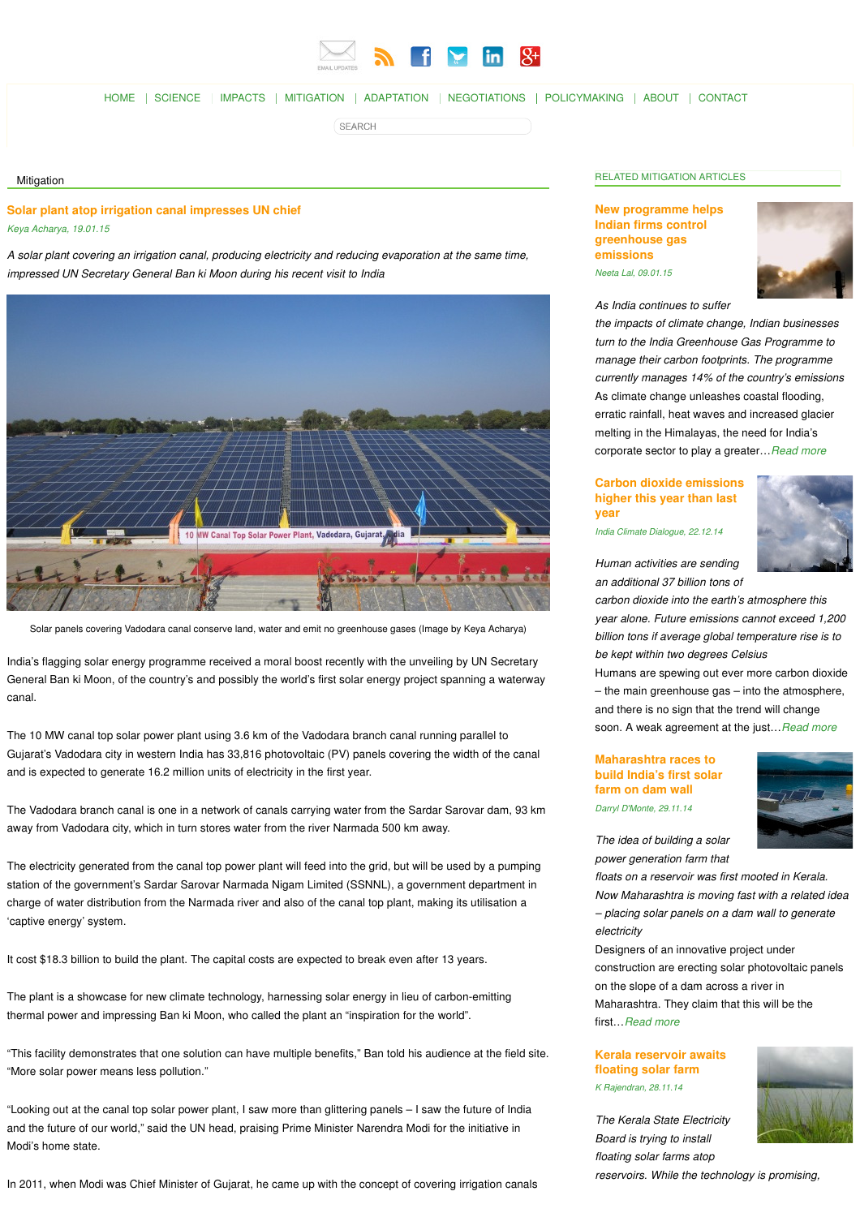

HOME SCIENCE I IMPACTS I MITIGATION | ADAPTATION | NEGOTIATIONS | POLICYMAKING | ABOUT | CONTACT

SFARCH

### Mitigation

## **Solar plant atop irrigation canal impresses UN chief** Keya Acharya, 19.01.15

A solar plant covering an irrigation canal, producing electricity and reducing evaporation at the same time, impressed UN Secretary General Ban ki Moon during his recent visit to India



Solar panels covering Vadodara canal conserve land, water and emit no greenhouse gases (Image by Keya Acharya)

India's flagging solar energy programme received a moral boost recently with the unveiling by UN Secretary General Ban ki Moon, of the country's and possibly the world's first solar energy project spanning a waterway canal.

The 10 MW canal top solar power plant using 3.6 km of the Vadodara branch canal running parallel to Gujarat's Vadodara city in western India has 33,816 photovoltaic (PV) panels covering the width of the canal and is expected to generate 16.2 million units of electricity in the first year.

The Vadodara branch canal is one in a network of canals carrying water from the Sardar Sarovar dam, 93 km away from Vadodara city, which in turn stores water from the river Narmada 500 km away.

The electricity generated from the canal top power plant will feed into the grid, but will be used by a pumping station of the government's Sardar Sarovar Narmada Nigam Limited (SSNNL), a government department in charge of water distribution from the Narmada river and also of the canal top plant, making its utilisation a 'captive energy' system.

It cost \$18.3 billion to build the plant. The capital costs are expected to break even after 13 years.

The plant is a showcase for new climate technology, harnessing solar energy in lieu of carbon-emitting thermal power and impressing Ban ki Moon, who called the plant an "inspiration for the world".

"This facility demonstrates that one solution can have multiple benefits," Ban told his audience at the field site. "More solar power means less pollution."

"Looking out at the canal top solar power plant, I saw more than glittering panels – I saw the future of India and the future of our world," said the UN head, praising Prime Minister Narendra Modi for the initiative in Modi's home state.

In 2011, when Modi was Chief Minister of Gujarat, he came up with the concept of covering irrigation canals

## RELATED MITIGATION ARTICLES

**New programme helps Indian firms control greenhouse gas emissions** Neeta Lal, 09.01.15



## As India continues to suffer

the impacts of climate change, Indian businesses turn to the India Greenhouse Gas Programme to manage their carbon footprints. The programme currently manages 14% of the country's emissions As climate change unleashes coastal flooding, erratic rainfall, heat waves and increased glacier melting in the Himalayas, the need for India's corporate sector to play a greater... Read more

**Carbon dioxide emissions higher this year than last year**

India Climate Dialogue, 22.12.14



Human activities are sending an additional 37 billion tons of

carbon dioxide into the earth's atmosphere this year alone. Future emissions cannot exceed 1,200 billion tons if average global temperature rise is to be kept within two degrees Celsius

Humans are spewing out ever more carbon dioxide – the main greenhouse gas – into the atmosphere, and there is no sign that the trend will change soon. A weak agreement at the just... Read more

**Maharashtra races to build India's first solar farm on dam wall** Darryl D'Monte, 29.11.14



The idea of building a solar power generation farm that

floats on a reservoir was first mooted in Kerala. Now Maharashtra is moving fast with a related idea – placing solar panels on a dam wall to generate electricity

Designers of an innovative project under construction are erecting solar photovoltaic panels on the slope of a dam across a river in Maharashtra. They claim that this will be the first…Read more

**Kerala reservoir awaits floating solar farm** K Rajendran, 28.11.14



The Kerala State Electricity Board is trying to install floating solar farms atop

reservoirs. While the technology is promising,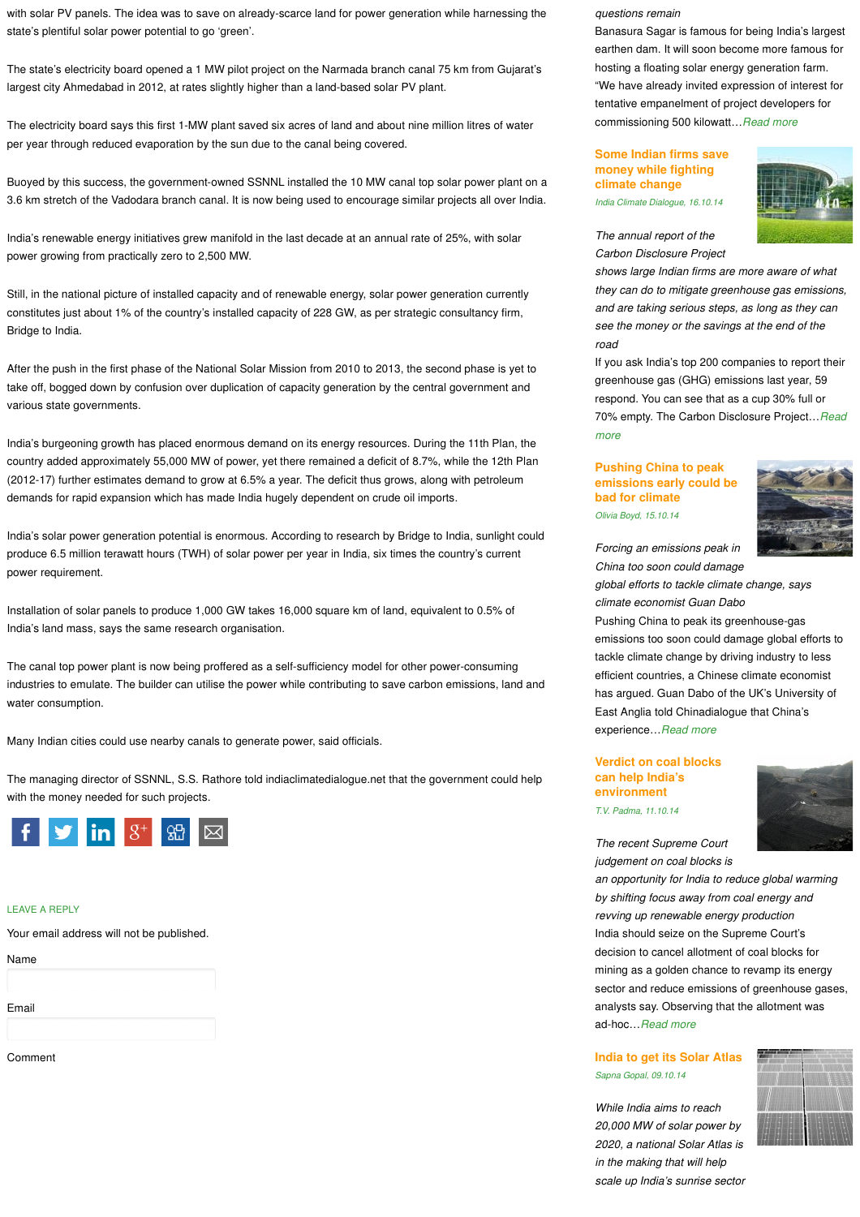with solar PV panels. The idea was to save on already-scarce land for power generation while harnessing the state's plentiful solar power potential to go 'green'.

The state's electricity board opened a 1 MW pilot project on the Narmada branch canal 75 km from Gujarat's largest city Ahmedabad in 2012, at rates slightly higher than a land-based solar PV plant.

The electricity board says this first 1-MW plant saved six acres of land and about nine million litres of water per year through reduced evaporation by the sun due to the canal being covered.

Buoyed by this success, the government-owned SSNNL installed the 10 MW canal top solar power plant on a 3.6 km stretch of the Vadodara branch canal. It is now being used to encourage similar projects all over India.

India's renewable energy initiatives grew manifold in the last decade at an annual rate of 25%, with solar power growing from practically zero to 2,500 MW.

Still, in the national picture of installed capacity and of renewable energy, solar power generation currently constitutes just about 1% of the country's installed capacity of 228 GW, as per strategic consultancy firm, Bridge to India.

After the push in the first phase of the National Solar Mission from 2010 to 2013, the second phase is yet to take off, bogged down by confusion over duplication of capacity generation by the central government and various state governments.

India's burgeoning growth has placed enormous demand on its energy resources. During the 11th Plan, the country added approximately 55,000 MW of power, yet there remained a deficit of 8.7%, while the 12th Plan (2012-17) further estimates demand to grow at 6.5% a year. The deficit thus grows, along with petroleum demands for rapid expansion which has made India hugely dependent on crude oil imports.

India's solar power generation potential is enormous. According to research by Bridge to India, sunlight could produce 6.5 million terawatt hours (TWH) of solar power per year in India, six times the country's current power requirement.

Installation of solar panels to produce 1,000 GW takes 16,000 square km of land, equivalent to 0.5% of India's land mass, says the same research organisation.

The canal top power plant is now being proffered as a self-sufficiency model for other power-consuming industries to emulate. The builder can utilise the power while contributing to save carbon emissions, land and water consumption.

Many Indian cities could use nearby canals to generate power, said officials.

The managing director of SSNNL, S.S. Rathore told indiaclimatedialogue.net that the government could help with the money needed for such projects.



#### LEAVE A REPLY

Your email address will not be published.

Name

Email

Comment

#### questions remain

Banasura Sagar is famous for being India's largest earthen dam. It will soon become more famous for hosting a floating solar energy generation farm. "We have already invited expression of interest for tentative empanelment of project developers for commissioning 500 kilowatt... Read more

## **Some Indian firms save money while fighting climate change** India Climate Dialogue, 16.10.14



The annual report of the Carbon Disclosure Project

shows large Indian firms are more aware of what they can do to mitigate greenhouse gas emissions, and are taking serious steps, as long as they can see the money or the savings at the end of the road

If you ask India's top 200 companies to report their greenhouse gas (GHG) emissions last year, 59 respond. You can see that as a cup 30% full or 70% empty. The Carbon Disclosure Project... Read more

# **Pushing China to peak emissions early could be bad for climate** Olivia Boyd, 15.10.14



Forcing an emissions peak in China too soon could damage

global efforts to tackle climate change, says climate economist Guan Dabo

Pushing China to peak its greenhouse-gas emissions too soon could damage global efforts to tackle climate change by driving industry to less efficient countries, a Chinese climate economist has argued. Guan Dabo of the UK's University of East Anglia told Chinadialogue that China's experience... Read more

**Verdict on coal blocks can help India's environment** T.V. Padma, 11.10.14



The recent Supreme Court judgement on coal blocks is

an opportunity for India to reduce global warming by shifting focus away from coal energy and revving up renewable energy production India should seize on the Supreme Court's decision to cancel allotment of coal blocks for mining as a golden chance to revamp its energy sector and reduce emissions of greenhouse gases, analysts say. Observing that the allotment was ad-hoc…Read more

**India to get its Solar Atlas** Sapna Gopal, 09.10.14

While India aims to reach 20,000 MW of solar power by 2020, a national Solar Atlas is in the making that will help scale up India's sunrise sector